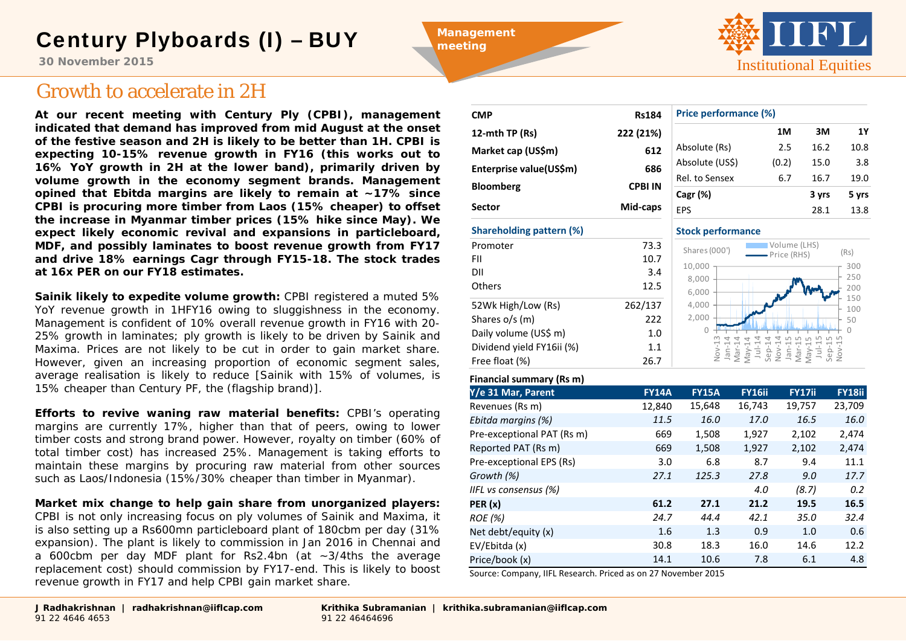# Century Plyboards (I) – BUY

**30 November 2015**

# Growth to accelerate in 2H

**At our recent meeting with Century Ply (CPBI), management indicated that demand has improved from mid August at the onset of the festive season and 2H is likely to be better than 1H. CPBI is expecting 10-15% revenue growth in FY16 (this works out to 16% YoY growth in 2H at the lower band), primarily driven by volume growth in the economy segment brands. Management opined that Ebitda margins are likely to remain at ~17% since CPBI is procuring more timber from Laos (15% cheaper) to offset the increase in Myanmar timber prices (15% hike since May). We expect likely economic revival and expansions in particleboard, MDF, and possibly laminates to boost revenue growth from FY17 and drive 18% earnings Cagr through FY15-18. The stock trades at 16x PER on our FY18 estimates.** 

**Sainik likely to expedite volume growth:** CPBI registered a muted 5% YoY revenue growth in 1HFY16 owing to sluggishness in the economy. Management is confident of 10% overall revenue growth in FY16 with 20- 25% growth in laminates; ply growth is likely to be driven by Sainik and Maxima. Prices are not likely to be cut in order to gain market share. However, given an increasing proportion of economic segment sales, average realisation is likely to reduce [Sainik with 15% of volumes, is 15% cheaper than Century PF, the (flagship brand)].

**Efforts to revive waning raw material benefits:** CPBI's operating margins are currently 17%, higher than that of peers, owing to lower timber costs and strong brand power. However, royalty on timber (60% of total timber cost) has increased 25%. Management is taking efforts to maintain these margins by procuring raw material from other sources such as Laos/Indonesia (15%/30% cheaper than timber in Myanmar).

**Market mix change to help gain share from unorganized players:** CPBI is not only increasing focus on ply volumes of Sainik and Maxima, it is also setting up a Rs600mn particleboard plant of 180cbm per day (31% expansion). The plant is likely to commission in Jan 2016 in Chennai and a 600cbm per day MDF plant for Rs2.4bn (at ~3/4ths the average replacement cost) should commission by FY17-end. This is likely to boost revenue growth in FY17 and help CPBI gain market share.



# **Institutional Equities**

| Price performance (%) |       |       |       |  |  |
|-----------------------|-------|-------|-------|--|--|
|                       | 1M    | ЗM    | 1Υ    |  |  |
| Absolute (Rs)         | 2.5   | 16.2  | 10.8  |  |  |
| Absolute (US\$)       | (0.2) | 15.0  | 3.8   |  |  |
| Rel. to Sensex        | 6.7   | 16.7  | 19.0  |  |  |
| Cagr (%)              |       | 3 yrs | 5 yrs |  |  |
| EPS                   |       | 28.1  | 13.8  |  |  |

#### **Stock performance**  $\cap$ 50100 150200250300 $\bigcap$ 2,000 4,000 6,000 8,000 10,000 Nov‐13 Jan‐14 Mar‐14 May‐14 Jul‐14 Sep‐14 Nov‐14 Jan‐15 Mar‐15 May‐15 Jul‐15 Sep‐15 Nov‐15 Volume (LHS)  $\sum_{\text{Price (RHS)}}$  (Rs)

## **Financial summary (Rs m)**

**CMP**

**Management meeting** 

**12‐mth**

| Y/e 31 Mar, Parent         | <b>FY14A</b> | <b>FY15A</b> | <b>FY16ii</b> | <b>FY17ii</b> | FY18ii |
|----------------------------|--------------|--------------|---------------|---------------|--------|
| Revenues (Rs m)            | 12,840       | 15,648       | 16,743        | 19,757        | 23,709 |
| Ebitda margins (%)         | 11.5         | 16.0         | 17.0          | 16.5          | 16.0   |
| Pre-exceptional PAT (Rs m) | 669          | 1,508        | 1,927         | 2,102         | 2,474  |
| Reported PAT (Rs m)        | 669          | 1,508        | 1,927         | 2,102         | 2,474  |
| Pre-exceptional EPS (Rs)   | 3.0          | 6.8          | 8.7           | 9.4           | 11.1   |
| Growth (%)                 | 27.1         | 125.3        | 27.8          | 9.0           | 17.7   |
| IIFL vs consensus (%)      |              |              | 4.0           | (8.7)         | 0.2    |
| PER(x)                     | 61.2         | 27.1         | 21.2          | 19.5          | 16.5   |
| <b>ROE</b> (%)             | 24.7         | 44.4         | 42.1          | 35.0          | 32.4   |
| Net debt/equity (x)        | 1.6          | 1.3          | 0.9           | 1.0           | 0.6    |
| EV/Ebitda (x)              | 30.8         | 18.3         | 16.0          | 14.6          | 12.2   |
| Price/book (x)             | 14.1         | 10.6         | 7.8           | 6.1           | 4.8    |

**Rs184**

**TP (Rs) 222 (21%)**

Source: Company, IIFL Research. Priced as on 27 November 2015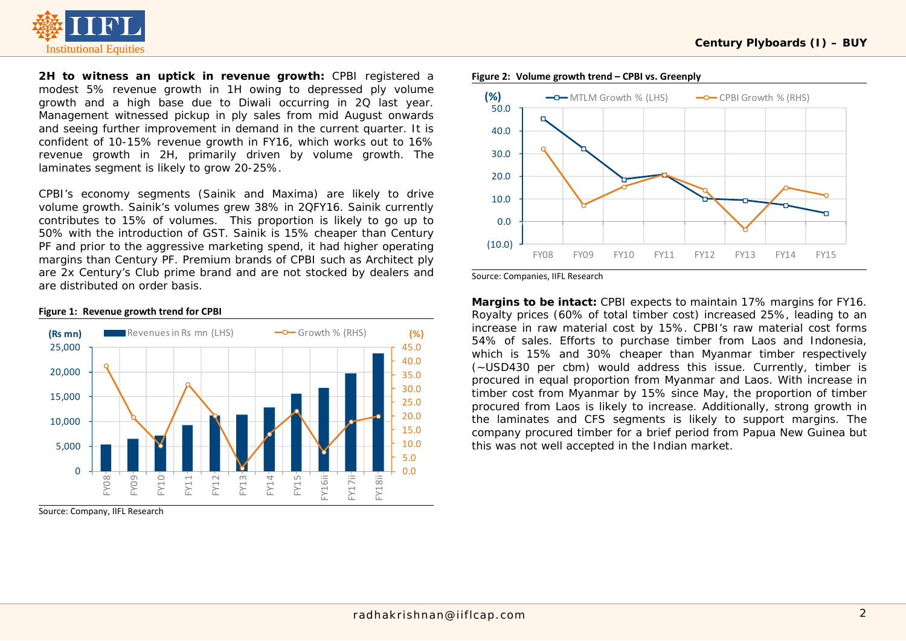

**2H to witness an uptick in revenue growth:** CPBI registered a modest 5% revenue growth in 1H owing to depressed ply volume growth and a high base due to Diwali occurring in 2Q last year. Management witnessed pickup in ply sales from mid August onwards and seeing further improvement in demand in the current quarter. It is confident of 10-15% revenue growth in FY16, which works out to 16% revenue growth in 2H, primarily driven by volume growth. The laminates segment is likely to grow 20-25%.

CPBI's economy segments (Sainik and Maxima) are likely to drive volume growth. Sainik's volumes grew 38% in 2QFY16. Sainik currently contributes to 15% of volumes. This proportion is likely to go up to 50% with the introduction of GST. Sainik is 15% cheaper than Century PF and prior to the aggressive marketing spend, it had higher operating margins than Century PF. Premium brands of CPBI such as Architect ply are 2x Century's Club prime brand and are not stocked by dealers and are distributed on order basis.

#### 0.05.010.015.020.025.030.035.040.045.0 $\Omega$ 5,000 10,000 15,000 20,000 25,000 FY08 FY09 FY10 FY11 FY12 FY13 FY14 FY15 FY16ii FY17ii FY18ii **(Rs mn)** Revenues in Rs mn (LHS)  $\rightarrow$  Growth % (RHS) (%)

Source: Company, IIFL Research

**Figure 1: Revenue growth trend for CPBI**



**Figure 2: Volume growth trend – CPBI vs. Greenply**

**Margins to be intact:** CPBI expects to maintain 17% margins for FY16. Royalty prices (60% of total timber cost) increased 25%, leading to an increase in raw material cost by 15%. CPBI's raw material cost forms 54% of sales. Efforts to purchase timber from Laos and Indonesia, which is 15% and 30% cheaper than Myanmar timber respectively (~USD430 per cbm) would address this issue. Currently, timber is procured in equal proportion from Myanmar and Laos. With increase in timber cost from Myanmar by 15% since May, the proportion of timber procured from Laos is likely to increase. Additionally, strong growth in the laminates and CFS segments is likely to support margins. The company procured timber for a brief period from Papua New Guinea but this was not well accepted in the Indian market.

Source: Companies, IIFL Research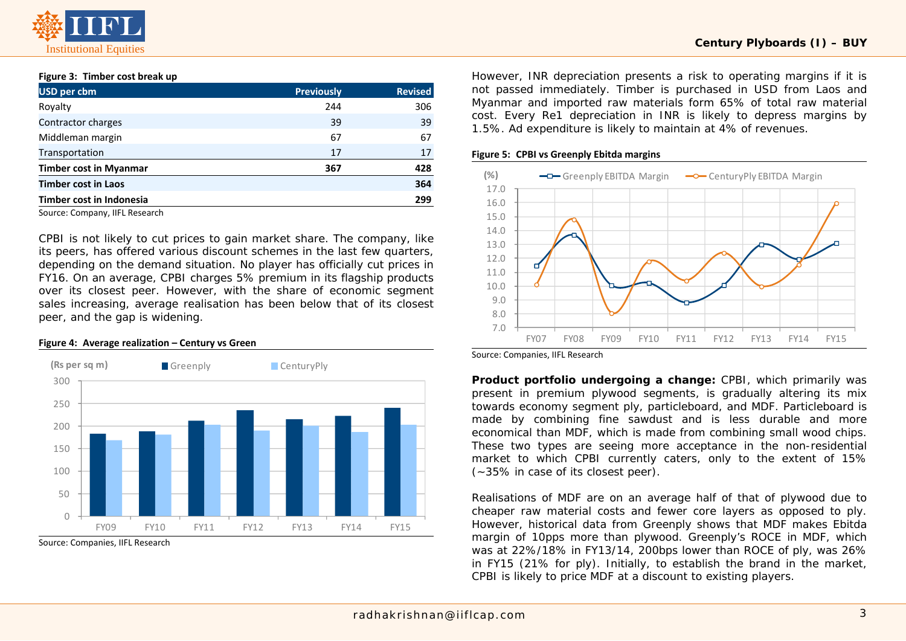### **Figure 3: Timber cost break up**

| <b>USD per cbm</b>            | <b>Previously</b> | <b>Revised</b> |
|-------------------------------|-------------------|----------------|
| Royalty                       | 244               | 306            |
| Contractor charges            | 39                | 39             |
| Middleman margin              | 67                | 67             |
| Transportation                | 17                | 17             |
| <b>Timber cost in Myanmar</b> | 367               | 428            |
| <b>Timber cost in Laos</b>    |                   | 364            |
| Timber cost in Indonesia      |                   | 299            |

Source: Company, IIFL Research

CPBI is not likely to cut prices to gain market share. The company, like its peers, has offered various discount schemes in the last few quarters, depending on the demand situation. No player has officially cut prices in FY16. On an average, CPBI charges 5% premium in its flagship products over its closest peer. However, with the share of economic segment sales increasing, average realisation has been below that of its closest peer, and the gap is widening.

#### **Figure 4: Average realization – Century vs Green**



Source: Companies, IIFL Research

However, INR depreciation presents a risk to operating margins if it is not passed immediately. Timber is purchased in USD from Laos and Myanmar and imported raw materials form 65% of total raw material cost. Every Re1 depreciation in INR is likely to depress margins by 1.5%. Ad expenditure is likely to maintain at 4% of revenues.

### **Figure 5: CPBI vs Greenply Ebitda margins**



Source: Companies, IIFL Research

**Product portfolio undergoing a change:** CPBI, which primarily was present in premium plywood segments, is gradually altering its mix towards economy segment ply, particleboard, and MDF. Particleboard is made by combining fine sawdust and is less durable and more economical than MDF, which is made from combining small wood chips. These two types are seeing more acceptance in the non-residential market to which CPBI currently caters, only to the extent of 15% (~35% in case of its closest peer).

Realisations of MDF are on an average half of that of plywood due to cheaper raw material costs and fewer core layers as opposed to ply. However, historical data from Greenply shows that MDF makes Ebitda margin of 10pps more than plywood. Greenply's ROCE in MDF, which was at 22%/18% in FY13/14, 200bps lower than ROCE of ply, was 26% in FY15 (21% for ply). Initially, to establish the brand in the market, CPBI is likely to price MDF at a discount to existing players.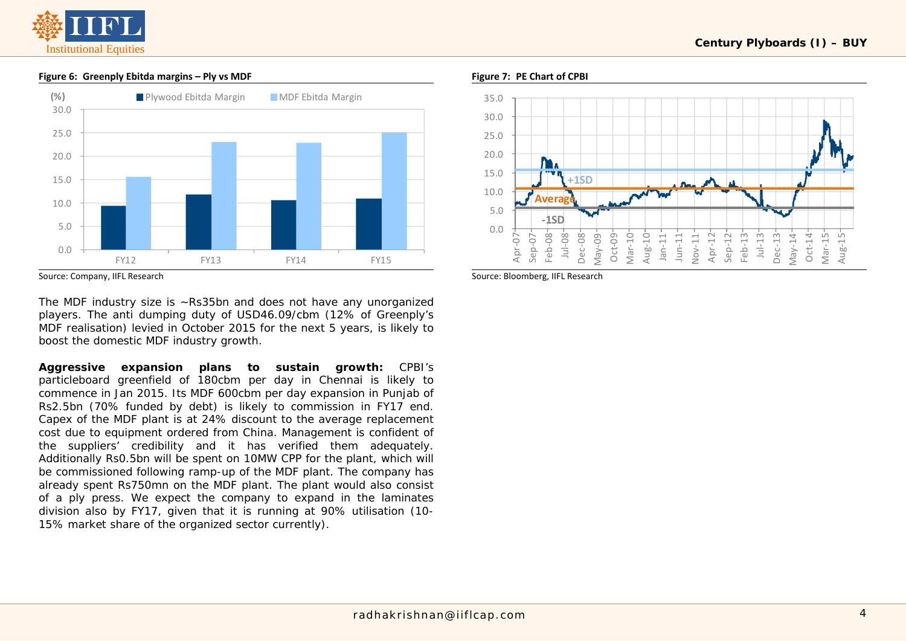

# 0.05.010.015.020.025.030.0FY12 FY13 FY14 FY15**(%)** Plywood Ebitda Margin MDF Ebitda Margin

## **Figure 6: Greenply Ebitda margins – Ply vs MDF**

Source: Company, IIFL Research

The MDF industry size is ~Rs35bn and does not have any unorganized players. The anti dumping duty of USD46.09/cbm (12% of Greenply's MDF realisation) levied in October 2015 for the next 5 years, is likely to boost the domestic MDF industry growth.

**Aggressive expansion plans to sustain growth:** CPBI's particleboard greenfield of 180cbm per day in Chennai is likely to commence in Jan 2015. Its MDF 600cbm per day expansion in Punjab of Rs2.5bn (70% funded by debt) is likely to commission in FY17 end. Capex of the MDF plant is at 24% discount to the average replacement cost due to equipment ordered from China. Management is confident of the suppliers' credibility and it has verified them adequately. Additionally Rs0.5bn will be spent on 10MW CPP for the plant, which will be commissioned following ramp-up of the MDF plant. The company has already spent Rs750mn on the MDF plant. The plant would also consist of a ply press. We expect the company to expand in the laminates division also by FY17, given that it is running at 90% utilisation (10- 15% market share of the organized sector currently).

## **Figure 7: PE Chart of CPBI**



Source: Bloomberg, IIFL Research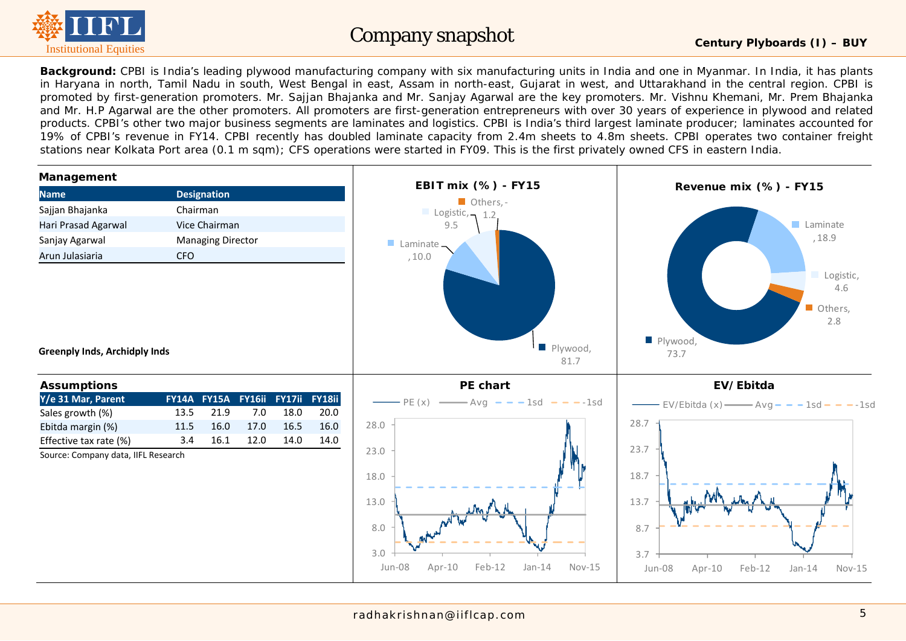

**Background:** CPBI is India's leading plywood manufacturing company with six manufacturing units in India and one in Myanmar. In India, it has plants in Haryana in north, Tamil Nadu in south, West Bengal in east, Assam in north-east, Gujarat in west, and Uttarakhand in the central region. CPBI is promoted by first-generation promoters. Mr. Sajjan Bhajanka and Mr. Sanjay Agarwal are the key promoters. Mr. Vishnu Khemani, Mr. Prem Bhajanka and Mr. H.P Agarwal are the other promoters. All promoters are first-generation entrepreneurs with over 30 years of experience in plywood and related products. CPBI's other two major business segments are laminates and logistics. CPBI is India's third largest laminate producer; laminates accounted for 19% of CPBI's revenue in FY14. CPBI recently has doubled laminate capacity from 2.4m sheets to 4.8m sheets. CPBI operates two container freight stations near Kolkata Port area (0.1 m sqm); CFS operations were started in FY09. This is the first privately owned CFS in eastern India.

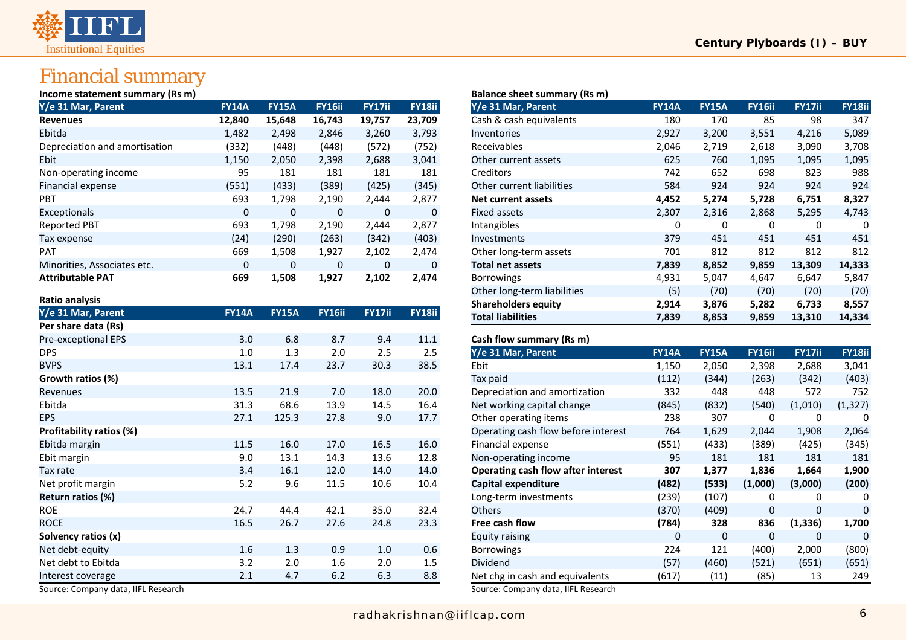# FL Institutional Equities

# Financial summary

#### **Income statement summary (Rs m)**

| Y/e 31 Mar, Parent            | <b>FY14A</b> | <b>FY15A</b> | <b>FY16ii</b> | <b>FY17ii</b> | <b>FY18ii</b> |
|-------------------------------|--------------|--------------|---------------|---------------|---------------|
| <b>Revenues</b>               | 12,840       | 15,648       | 16,743        | 19,757        | 23,709        |
| Ebitda                        | 1,482        | 2,498        | 2,846         | 3,260         | 3,793         |
| Depreciation and amortisation | (332)        | (448)        | (448)         | (572)         | (752)         |
| <b>Ebit</b>                   | 1,150        | 2,050        | 2,398         | 2,688         | 3,041         |
| Non-operating income          | 95           | 181          | 181           | 181           | 181           |
| <b>Financial expense</b>      | (551)        | (433)        | (389)         | (425)         | (345)         |
| <b>PBT</b>                    | 693          | 1,798        | 2,190         | 2,444         | 2,877         |
| Exceptionals                  | $\Omega$     | $\Omega$     | $\Omega$      | 0             | 0             |
| <b>Reported PBT</b>           | 693          | 1,798        | 2,190         | 2,444         | 2,877         |
| Tax expense                   | (24)         | (290)        | (263)         | (342)         | (403)         |
| <b>PAT</b>                    | 669          | 1,508        | 1,927         | 2,102         | 2,474         |
| Minorities, Associates etc.   | 0            | $\Omega$     | 0             | 0             | 0             |
| <b>Attributable PAT</b>       | 669          | 1,508        | 1,927         | 2,102         | 2,474         |

#### **Ratio analysis**

| Y/e 31 Mar, Parent                  | <b>FY14A</b> | <b>FY15A</b> | <b>FY16ii</b> | FY17ii | <b>FY18ii</b> |
|-------------------------------------|--------------|--------------|---------------|--------|---------------|
| Per share data (Rs)                 |              |              |               |        |               |
| Pre-exceptional EPS                 | 3.0          | 6.8          | 8.7           | 9.4    | 11.1          |
| <b>DPS</b>                          | 1.0          | 1.3          | 2.0           | 2.5    | 2.5           |
| <b>BVPS</b>                         | 13.1         | 17.4         | 23.7          | 30.3   | 38.5          |
| Growth ratios (%)                   |              |              |               |        |               |
| Revenues                            | 13.5         | 21.9         | 7.0           | 18.0   | 20.0          |
| Ebitda                              | 31.3         | 68.6         | 13.9          | 14.5   | 16.4          |
| <b>EPS</b>                          | 27.1         | 125.3        | 27.8          | 9.0    | 17.7          |
| Profitability ratios (%)            |              |              |               |        |               |
| Ebitda margin                       | 11.5         | 16.0         | 17.0          | 16.5   | 16.0          |
| Ebit margin                         | 9.0          | 13.1         | 14.3          | 13.6   | 12.8          |
| Tax rate                            | 3.4          | 16.1         | 12.0          | 14.0   | 14.0          |
| Net profit margin                   | 5.2          | 9.6          | 11.5          | 10.6   | 10.4          |
| Return ratios (%)                   |              |              |               |        |               |
| <b>ROE</b>                          | 24.7         | 44.4         | 42.1          | 35.0   | 32.4          |
| <b>ROCE</b>                         | 16.5         | 26.7         | 27.6          | 24.8   | 23.3          |
| Solvency ratios (x)                 |              |              |               |        |               |
| Net debt-equity                     | 1.6          | 1.3          | 0.9           | 1.0    | 0.6           |
| Net debt to Ebitda                  | 3.2          | 2.0          | 1.6           | 2.0    | 1.5           |
| Interest coverage                   | 2.1          | 4.7          | 6.2           | 6.3    | 8.8           |
| Source: Company data, IIFL Research |              |              |               |        |               |

#### **Balance sheet summary (Rs m)**

| Y/e 31 Mar, Parent          | <b>FY14A</b> | <b>FY15A</b> | <b>FY16ii</b> | FY17ii | FY18ii |
|-----------------------------|--------------|--------------|---------------|--------|--------|
| Cash & cash equivalents     | 180          | 170          | 85            | 98     | 347    |
| Inventories                 | 2,927        | 3,200        | 3,551         | 4,216  | 5,089  |
| Receivables                 | 2,046        | 2,719        | 2,618         | 3,090  | 3,708  |
| Other current assets        | 625          | 760          | 1,095         | 1,095  | 1,095  |
| Creditors                   | 742          | 652          | 698           | 823    | 988    |
| Other current liabilities   | 584          | 924          | 924           | 924    | 924    |
| <b>Net current assets</b>   | 4,452        | 5,274        | 5,728         | 6,751  | 8,327  |
| <b>Fixed assets</b>         | 2,307        | 2,316        | 2,868         | 5,295  | 4,743  |
| Intangibles                 | 0            | 0            | 0             | 0      | 0      |
| Investments                 | 379          | 451          | 451           | 451    | 451    |
| Other long-term assets      | 701          | 812          | 812           | 812    | 812    |
| <b>Total net assets</b>     | 7,839        | 8,852        | 9,859         | 13,309 | 14,333 |
| <b>Borrowings</b>           | 4,931        | 5,047        | 4,647         | 6,647  | 5,847  |
| Other long-term liabilities | (5)          | (70)         | (70)          | (70)   | (70)   |
| <b>Shareholders equity</b>  | 2,914        | 3,876        | 5,282         | 6,733  | 8,557  |
| <b>Total liabilities</b>    | 7,839        | 8,853        | 9,859         | 13,310 | 14,334 |

## **Cash flow summary (Rs m)**

| Y/e 31 Mar, Parent                        | <b>FY14A</b> | <b>FY15A</b> | <b>FY16ii</b> | FY17ii   | FY18ii       |
|-------------------------------------------|--------------|--------------|---------------|----------|--------------|
| Ebit                                      | 1,150        | 2,050        | 2,398         | 2,688    | 3,041        |
| Tax paid                                  | (112)        | (344)        | (263)         | (342)    | (403)        |
| Depreciation and amortization             | 332          | 448          | 448           | 572      | 752          |
| Net working capital change                | (845)        | (832)        | (540)         | (1,010)  | (1, 327)     |
| Other operating items                     | 238          | 307          | 0             | 0        | $\mathbf{0}$ |
| Operating cash flow before interest       | 764          | 1,629        | 2,044         | 1,908    | 2,064        |
| Financial expense                         | (551)        | (433)        | (389)         | (425)    | (345)        |
| Non-operating income                      | 95           | 181          | 181           | 181      | 181          |
| <b>Operating cash flow after interest</b> | 307          | 1,377        | 1,836         | 1,664    | 1,900        |
| Capital expenditure                       | (482)        | (533)        | (1,000)       | (3,000)  | (200)        |
| Long-term investments                     | (239)        | (107)        | 0             | 0        | $\Omega$     |
| <b>Others</b>                             | (370)        | (409)        | $\mathbf{0}$  | $\Omega$ | $\Omega$     |
| Free cash flow                            | (784)        | 328          | 836           | (1, 336) | 1,700        |
| Equity raising                            | $\Omega$     | $\Omega$     | 0             | $\Omega$ | $\Omega$     |
| <b>Borrowings</b>                         | 224          | 121          | (400)         | 2,000    | (800)        |
| <b>Dividend</b>                           | (57)         | (460)        | (521)         | (651)    | (651)        |
| Net chg in cash and equivalents           | (617)        | (11)         | (85)          | 13       | 249          |
| Source: Company data, IIFL Research       |              |              |               |          |              |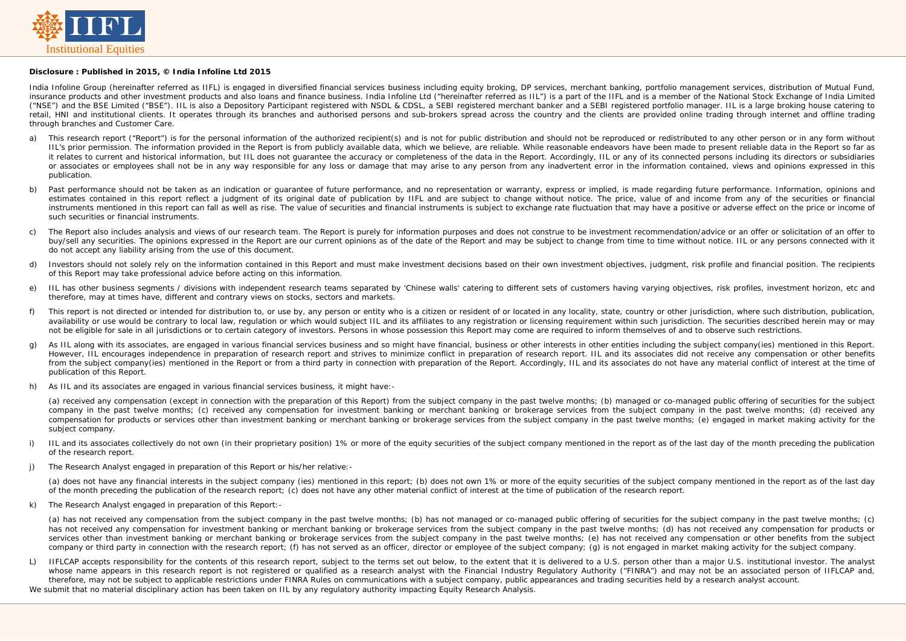

#### **Disclosure : Published in 2015, © India Infoline Ltd 2015**

India Infoline Group (hereinafter referred as IIFL) is engaged in diversified financial services business including equity broking. DP services, merchant banking, portfolio management services, distribution of Mutual Fund, insurance products and other investment products and also loans and finance business. India Infoline Ltd ("hereinafter referred as IIL") is a part of the IIFL and is a member of the National Stock Exchange of India Limited ("NSE") and the BSE Limited ("BSE"). IIL is also a Depository Participant registered with NSDL & CDSL, a SEBI registered merchant banker and a SEBI registered portfolio manager. IIL is a large broking house catering to retail. HNI and institutional clients. It operates through its branches and authorised persons and sub-brokers spread across the country and the clients are provided online trading through internet and offline trading through branches and Customer Care.

- a) This research report ("Report") is for the personal information of the authorized recipient(s) and is not for public distribution and should not be reproduced or redistributed to any other person or in any form without IIL's prior permission. The information provided in the Report is from publicly available data, which we believe, are reliable. While reasonable endeavors have been made to present reliable data in the Report so far as it relates to current and historical information, but IIL does not guarantee the accuracy or completeness of the data in the Report. Accordingly, IIL or any of its connected persons including its directors or subsidiaries or associates or employees shall not be in any way responsible for any loss or damage that may arise to any person from any inadvertent error in the information contained, views and opinions expressed in this publication.
- Past performance should not be taken as an indication or quarantee of future performance, and no representation or warranty, express or implied, is made regarding future performance. Information, opinions and estimates contained in this report reflect a judgment of its original date of publication by IIFL and are subject to change without notice. The price, value of and income from any of the securities or financial instruments mentioned in this report can fall as well as rise. The value of securities and financial instruments is subject to exchange rate fluctuation that may have a positive or adverse effect on the price or income of such securities or financial instruments.
- c) The Report also includes analysis and views of our research team. The Report is purely for information purposes and does not construe to be investment recommendation/advice or an offer or solicitation of an offer to buy/sell any securities. The opinions expressed in the Report are our current opinions as of the date of the Report and may be subject to change from time to time without notice. IIL or any persons connected with it do not accept any liability arising from the use of this document.
- d) Investors should not solely rely on the information contained in this Report and must make investment decisions based on their own investment objectives, judgment, risk profile and financial position. The recipients of this Report may take professional advice before acting on this information.
- e) IIL has other business segments / divisions with independent research teams separated by 'Chinese walls' catering to different sets of customers having varying objectives, risk profiles, investment horizon, etc and therefore, may at times have, different and contrary views on stocks, sectors and markets.
- f) This report is not directed or intended for distribution to, or use by, any person or entity who is a citizen or resident of or located in any locality, state, country or other jurisdiction, where such distribution, pub availability or use would be contrary to local law, regulation or which would subject IIL and its affiliates to any registration or licensing requirement within such jurisdiction. The securities described herein may or may not be eligible for sale in all jurisdictions or to certain category of investors. Persons in whose possession this Report may come are required to inform themselves of and to observe such restrictions.
- g) As IIL along with its associates, are engaged in various financial services business and so might have financial, business or other interests in other entities including the subject company(ies) mentioned in this Report However, IIL encourages independence in preparation of research report and strives to minimize conflict in preparation of research report. IIL and its associates did not receive any compensation or other benefits from the subject company(jes) mentioned in the Report or from a third party in connection with preparation of the Report. Accordingly, III and its associates do not have any material conflict of interest at the time of publication of this Report.
- As IIL and its associates are engaged in various financial services business, it might have:-

(a) received any compensation (except in connection with the preparation of this Report) from the subject company in the past twelve months; (b) managed or co-managed public offering of securities for the subject company in the past twelve months; (c) received any compensation for investment banking or merchant banking or brokerage services from the subject company in the past twelve months; (d) received any compensation for products or services other than investment banking or merchant banking or brokerage services from the subject company in the past twelve months; (e) engaged in market making activity for the subject company.

- i) IIL and its associates collectively do not own (in their proprietary position) 1% or more of the equity securities of the subject company mentioned in the report as of the last day of the month preceding the publication of the research report.
- j) The Research Analyst engaged in preparation of this Report or his/her relative*:-*

(a) does not have any financial interests in the subject company (ies) mentioned in this report; (b) does not own 1% or more of the equity securities of the subject company mentioned in the report as of the last day of the month preceding the publication of the research report; (c) does not have any other material conflict of interest at the time of publication of the research report.

k) The Research Analyst engaged in preparation of this Report:-

(a) has not received any compensation from the subject company in the past twelve months; (b) has not managed or co-managed public offering of securities for the subject company in the past twelve months; (c) has not received any compensation for investment banking or merchant banking or brokerage services from the subject company in the past twelve months; (d) has not received any compensation for products or services other than investment banking or merchant banking or brokerage services from the subject company in the past twelve months; (e) has not received any compensation or other benefits from the subject company or third party in connection with the research report; (f) has not served as an officer, director or employee of the subject company; (q) is not engaged in market making activity for the subject company.

L) IIFLCAP accepts responsibility for the contents of this research report, subject to the terms set out below, to the extent that it is delivered to a U.S. person other than a major U.S. institutional investor. The analyst whose name appears in this research report is not registered or qualified as a research analyst with the Financial Industry Regulatory Authority ("FINRA") and may not be an associated person of IIFLCAP and, therefore, may not be subject to applicable restrictions under FINRA Rules on communications with a subject company, public appearances and trading securities held by a research analyst account. We submit that no material disciplinary action has been taken on IIL by any regulatory authority impacting Equity Research Analysis.